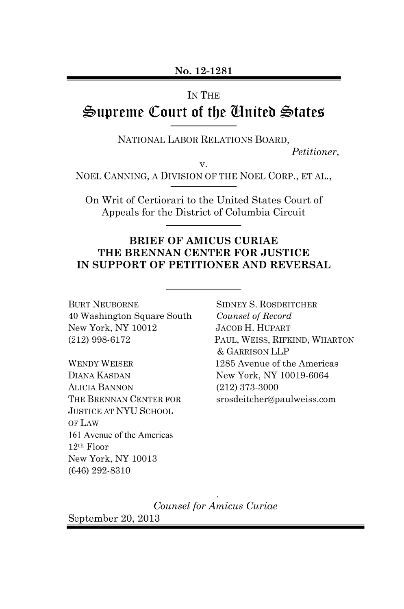#### **IN THE**

# Supreme Court of the Gnited States

NATIONAL LABOR RELATIONS BOARD.

Petitioner.

v. NOEL CANNING, A DIVISION OF THE NOEL CORP., ET AL.,

On Writ of Certiorari to the United States Court of Appeals for the District of Columbia Circuit

#### **BRIEF OF AMICUS CURIAE** THE BRENNAN CENTER FOR JUSTICE IN SUPPORT OF PETITIONER AND REVERSAL

**BURT NEUBORNE** 40 Washington Square South New York, NY 10012  $(212)$  998-6172

**WENDY WEISER DIANA KASDAN ALICIA BANNON** THE BRENNAN CENTER FOR **JUSTICE AT NYU SCHOOL** OF LAW 161 Avenue of the Americas  $12<sup>th</sup>$  Floor New York, NY 10013  $(646)$  292-8310

**SIDNEY S. ROSDEITCHER** Counsel of Record **JACOB H. HUPART** PAUL, WEISS, RIFKIND, WHARTON & GARRISON LLP 1285 Avenue of the Americas New York, NY 10019-6064  $(212)$  373-3000 srosdeitcher@paulweiss.com

Counsel for Amicus Curiae

September 20, 2013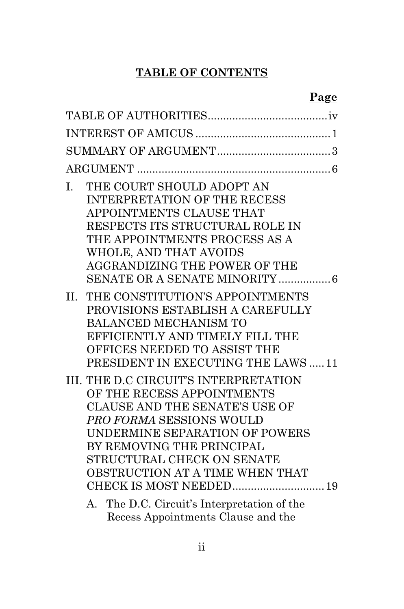## **TABLE OF CONTENTS**

|--|

| THE COURT SHOULD ADOPT AN<br>I.<br><b>INTERPRETATION OF THE RECESS</b><br>APPOINTMENTS CLAUSE THAT<br>RESPECTS ITS STRUCTURAL ROLE IN<br>THE APPOINTMENTS PROCESS AS A<br>WHOLE, AND THAT AVOIDS<br><b>AGGRANDIZING THE POWER OF THE</b>                                 |  |
|--------------------------------------------------------------------------------------------------------------------------------------------------------------------------------------------------------------------------------------------------------------------------|--|
| THE CONSTITUTION'S APPOINTMENTS<br>$\Pi$ .<br>PROVISIONS ESTABLISH A CAREFULLY<br><b>BALANCED MECHANISM TO</b><br>EFFICIENTLY AND TIMELY FILL THE<br>OFFICES NEEDED TO ASSIST THE<br>PRESIDENT IN EXECUTING THE LAWS  11                                                 |  |
| III. THE D.C CIRCUIT'S INTERPRETATION<br>OF THE RECESS APPOINTMENTS<br><b>CLAUSE AND THE SENATE'S USE OF</b><br>PRO FORMA SESSIONS WOULD<br>UNDERMINE SEPARATION OF POWERS<br>BY REMOVING THE PRINCIPAL<br>STRUCTURAL CHECK ON SENATE<br>OBSTRUCTION AT A TIME WHEN THAT |  |
| A. The D.C. Circuit's Interpretation of the                                                                                                                                                                                                                              |  |

Recess Appointments Clause and the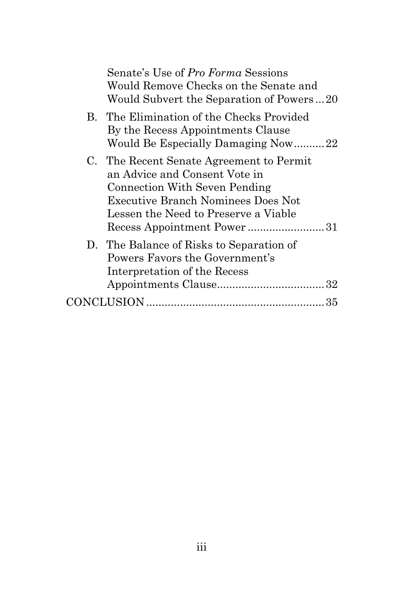| Senate's Use of Pro Forma Sessions<br>Would Remove Checks on the Senate and<br>Would Subvert the Separation of Powers20                                                                                                |  |
|------------------------------------------------------------------------------------------------------------------------------------------------------------------------------------------------------------------------|--|
| B. The Elimination of the Checks Provided<br>By the Recess Appointments Clause<br>Would Be Especially Damaging Now22                                                                                                   |  |
| C. The Recent Senate Agreement to Permit<br>an Advice and Consent Vote in<br>Connection With Seven Pending<br>Executive Branch Nominees Does Not<br>Lessen the Need to Preserve a Viable<br>Recess Appointment Power31 |  |
| D. The Balance of Risks to Separation of<br>Powers Favors the Government's<br>Interpretation of the Recess                                                                                                             |  |
|                                                                                                                                                                                                                        |  |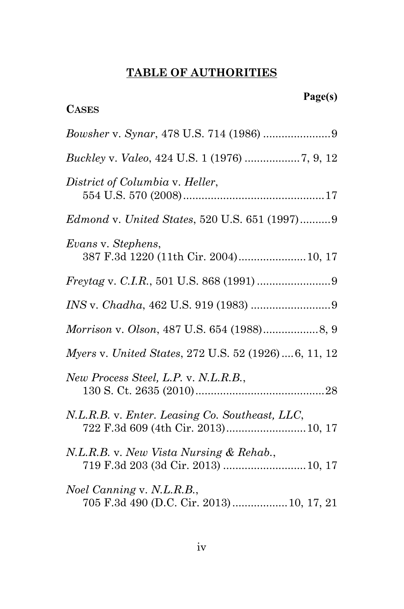## **TABLE OF AUTHORITIES**

| <b>CASES</b>                                                                          |
|---------------------------------------------------------------------------------------|
|                                                                                       |
|                                                                                       |
| District of Columbia v. Heller,                                                       |
| <i>Edmond v. United States, 520 U.S. 651 (1997)9</i>                                  |
| Evans v. Stephens,<br>387 F.3d 1220 (11th Cir. 2004) 10, 17                           |
|                                                                                       |
|                                                                                       |
|                                                                                       |
| Myers v. United States, 272 U.S. 52 (1926)6, 11, 12                                   |
| New Process Steel, L.P. v. N.L.R.B.,                                                  |
| N.L.R.B. v. Enter. Leasing Co. Southeast, LLC,<br>722 F.3d 609 (4th Cir. 2013) 10, 17 |
| N.L.R.B. v. New Vista Nursing & Rehab.,<br>719 F.3d 203 (3d Cir. 2013)  10, 17        |
| Noel Canning v. N.L.R.B.,<br>705 F.3d 490 (D.C. Cir. 2013)  10, 17, 21                |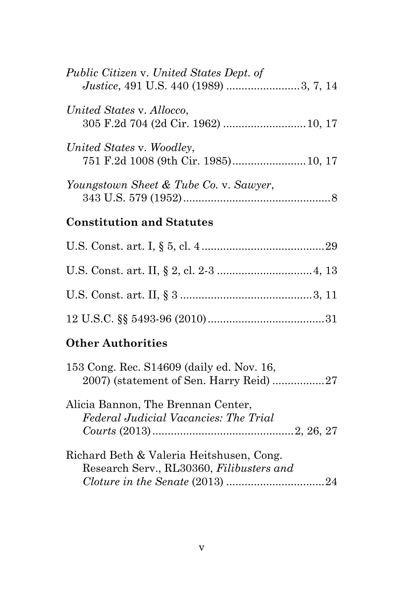| Public Citizen v. United States Dept. of<br>Justice, 491 U.S. 440 (1989) 3, 7, 14 |  |
|-----------------------------------------------------------------------------------|--|
| United States v. Allocco,                                                         |  |
| United States v. Woodley,<br>751 F.2d 1008 (9th Cir. 1985) 10, 17                 |  |
| Youngstown Sheet & Tube Co. v. Sawyer,                                            |  |

## **Constitution and Statutes**

## **Other Authorities**

| 153 Cong. Rec. S14609 (daily ed. Nov. 16, |  |
|-------------------------------------------|--|
|                                           |  |
| Alicia Bannon, The Brennan Center,        |  |
| Federal Judicial Vacancies: The Trial     |  |
|                                           |  |
| Richard Beth & Valeria Heitshusen, Cong.  |  |
| Research Serv., RL30360, Filibusters and  |  |
|                                           |  |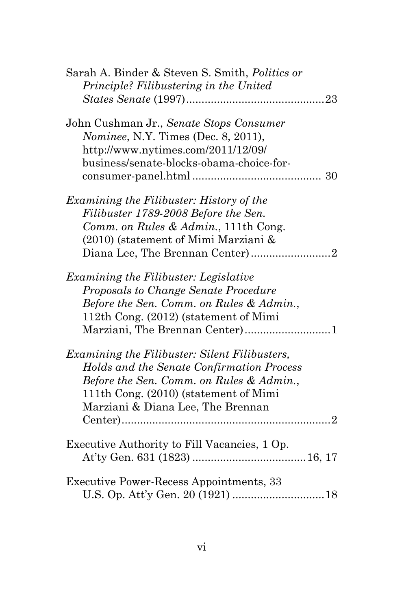| Sarah A. Binder & Steven S. Smith, Politics or |
|------------------------------------------------|
| Principle? Filibustering in the United         |
|                                                |
| John Cushman Jr., Senate Stops Consumer        |
| Nominee, N.Y. Times (Dec. 8, 2011),            |
| http://www.nytimes.com/2011/12/09/             |
| business/senate-blocks-obama-choice-for-       |
| 30                                             |
| Examining the Filibuster: History of the       |
| Filibuster 1789-2008 Before the Sen.           |
| Comm. on Rules & Admin., 111th Cong.           |
| (2010) (statement of Mimi Marziani &           |
| Diana Lee, The Brennan Center)2                |
| Examining the Filibuster: Legislative          |
| Proposals to Change Senate Procedure           |
| Before the Sen. Comm. on Rules & Admin.,       |
| 112th Cong. (2012) (statement of Mimi          |
|                                                |
| Examining the Filibuster: Silent Filibusters,  |
| Holds and the Senate Confirmation Process      |
| Before the Sen. Comm. on Rules & Admin.,       |
| 111th Cong. (2010) (statement of Mimi          |
| Marziani & Diana Lee, The Brennan              |
|                                                |
| Executive Authority to Fill Vacancies, 1 Op.   |
|                                                |
| <b>Executive Power-Recess Appointments, 33</b> |
|                                                |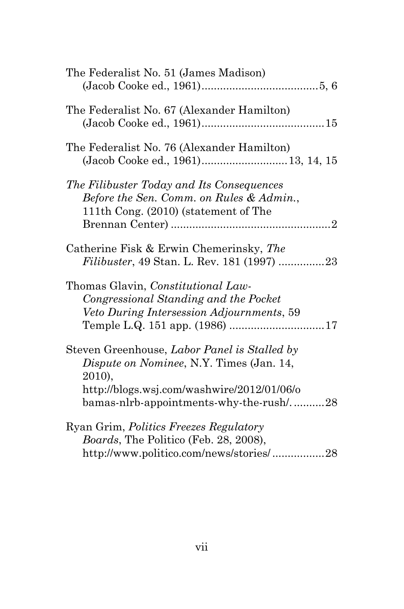| The Federalist No. 51 (James Madison)                                                                                                                                                       |
|---------------------------------------------------------------------------------------------------------------------------------------------------------------------------------------------|
| The Federalist No. 67 (Alexander Hamilton)                                                                                                                                                  |
| The Federalist No. 76 (Alexander Hamilton)<br>(Jacob Cooke ed., 1961) 13, 14, 15                                                                                                            |
| The Filibuster Today and Its Consequences<br>Before the Sen. Comm. on Rules & Admin.,<br>111th Cong. (2010) (statement of The                                                               |
| Catherine Fisk & Erwin Chemerinsky, The<br><i>Filibuster</i> , 49 Stan. L. Rev. 181 (1997) 23                                                                                               |
| Thomas Glavin, <i>Constitutional Law-</i><br>Congressional Standing and the Pocket<br>Veto During Intersession Adjournments, 59                                                             |
| Steven Greenhouse, Labor Panel is Stalled by<br>Dispute on Nominee, N.Y. Times (Jan. 14,<br>2010),<br>http://blogs.wsj.com/washwire/2012/01/06/o<br>bamas-nlrb-appointments-why-the-rush/28 |
| Ryan Grim, <i>Politics Freezes Regulatory</i><br>Boards, The Politico (Feb. 28, 2008),<br>http://www.politico.com/news/stories/28                                                           |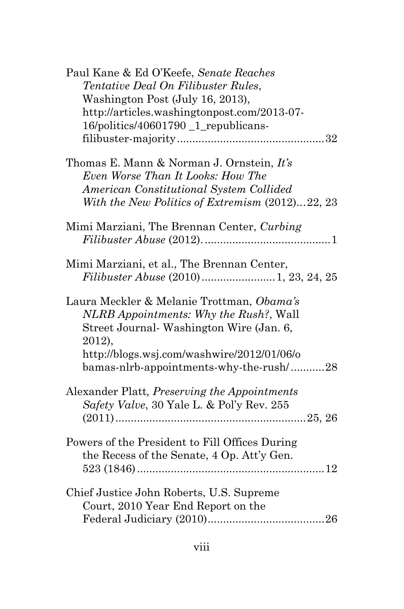| Paul Kane & Ed O'Keefe, Senate Reaches          |
|-------------------------------------------------|
| Tentative Deal On Filibuster Rules,             |
| Washington Post (July 16, 2013),                |
| http://articles.washingtonpost.com/2013-07-     |
| 16/politics/40601790_1_republicans-             |
|                                                 |
|                                                 |
| Thomas E. Mann & Norman J. Ornstein, It's       |
|                                                 |
| Even Worse Than It Looks: How The               |
| American Constitutional System Collided         |
| With the New Politics of Extremism (2012)22, 23 |
|                                                 |
| Mimi Marziani, The Brennan Center, Curbing      |
|                                                 |
|                                                 |
| Mimi Marziani, et al., The Brennan Center,      |
|                                                 |
|                                                 |
| Laura Meckler & Melanie Trottman, Obama's       |
| NLRB Appointments: Why the Rush?, Wall          |
| Street Journal-Washington Wire (Jan. 6,         |
| 2012),                                          |
|                                                 |
| http://blogs.wsj.com/washwire/2012/01/06/o      |
| bamas-nlrb-appointments-why-the-rush/28         |
|                                                 |
| Alexander Platt, Preserving the Appointments    |
| Safety Valve, 30 Yale L. & Pol'y Rev. 255       |
|                                                 |
|                                                 |
| Powers of the President to Fill Offices During  |
| the Recess of the Senate, 4 Op. Att'y Gen.      |
|                                                 |
|                                                 |
| Chief Justice John Roberts, U.S. Supreme        |
| Court, 2010 Year End Report on the              |
|                                                 |
|                                                 |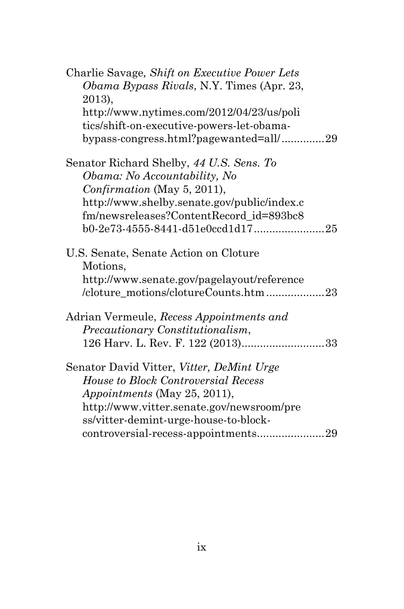| Charlie Savage, Shift on Executive Power Lets    |
|--------------------------------------------------|
| <i>Obama Bypass Rivals, N.Y. Times (Apr. 23,</i> |
| 2013),                                           |
| http://www.nytimes.com/2012/04/23/us/poli        |
| tics/shift-on-executive-powers-let-obama-        |
| bypass-congress.html?pagewanted=all/29           |
| Senator Richard Shelby, 44 U.S. Sens. To         |
| Obama: No Accountability, No                     |
| Confirmation (May 5, 2011),                      |
| http://www.shelby.senate.gov/public/index.c      |
| fm/newsreleases?ContentRecord_id=893bc8          |
| b0-2e73-4555-8441-d51e0ccd1d1725                 |
| U.S. Senate, Senate Action on Cloture            |
| Motions,                                         |
| http://www.senate.gov/pagelayout/reference       |
| /cloture_motions/clotureCounts.htm 23            |
| Adrian Vermeule, Recess Appointments and         |
| Precautionary Constitutionalism,                 |
|                                                  |
| Senator David Vitter, Vitter, DeMint Urge        |
| <b>House to Block Controversial Recess</b>       |
| <i>Appointments</i> (May 25, 2011),              |
| http://www.vitter.senate.gov/newsroom/pre        |
| ss/vitter-demint-urge-house-to-block-            |
| controversial-recess-appointments29              |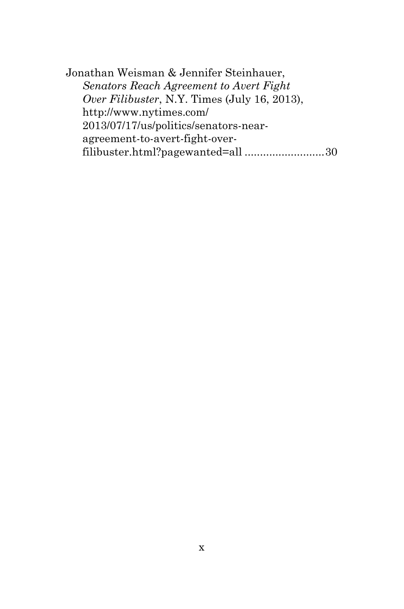Jonathan Weisman & Jennifer Steinhauer, *Senators Reach Agreement to Avert Fight Over Filibuster*, N.Y. Times (July 16, 2013), http://www.nytimes.com/ 2013/07/17/us/politics/senators-nearagreement-to-avert-fight-overfilibuster.html?pagewanted=all ..........................30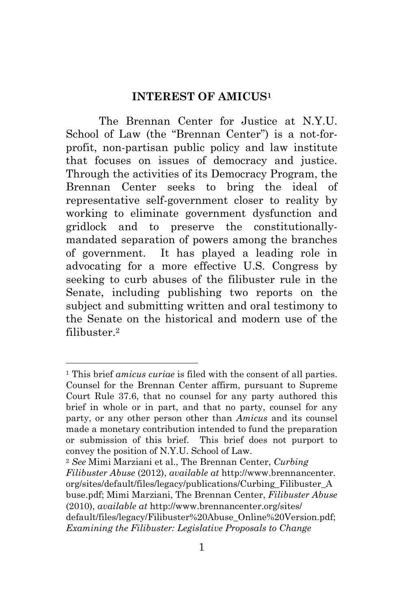#### **INTEREST OF AMICUS<sup>1</sup>**

The Brennan Center for Justice at N.Y.U. School of Law (the "Brennan Center") is a not-forprofit, non-partisan public policy and law institute that focuses on issues of democracy and justice. Through the activities of its Democracy Program, the Brennan Center seeks to bring the ideal of representative self-government closer to reality by working to eliminate government dysfunction and gridlock and to preserve the constitutionallymandated separation of powers among the branches of government. It has played a leading role in advocating for a more effective U.S. Congress by seeking to curb abuses of the filibuster rule in the Senate, including publishing two reports on the subject and submitting written and oral testimony to the Senate on the historical and modern use of the filibuster.<sup>2</sup>

 $\overline{a}$ 

<sup>2</sup> *See* Mimi Marziani et al., The Brennan Center, *Curbing Filibuster Abuse* (2012), *available at* http://www.brennancenter. org/sites/default/files/legacy/publications/Curbing\_Filibuster\_A buse.pdf; Mimi Marziani, The Brennan Center, *Filibuster Abuse* (2010), *available at* http://www.brennancenter.org/sites/ default/files/legacy/Filibuster%20Abuse\_Online%20Version.pdf; *Examining the Filibuster: Legislative Proposals to Change* 

<sup>1</sup> This brief *amicus curiae* is filed with the consent of all parties. Counsel for the Brennan Center affirm, pursuant to Supreme Court Rule 37.6, that no counsel for any party authored this brief in whole or in part, and that no party, counsel for any party, or any other person other than *Amicus* and its counsel made a monetary contribution intended to fund the preparation or submission of this brief. This brief does not purport to convey the position of N.Y.U. School of Law.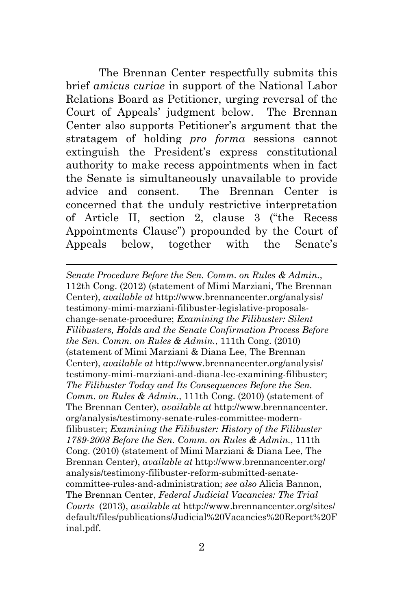The Brennan Center respectfully submits this brief *amicus curiae* in support of the National Labor Relations Board as Petitioner, urging reversal of the Court of Appeals' judgment below. The Brennan Center also supports Petitioner's argument that the stratagem of holding *pro forma* sessions cannot extinguish the President's express constitutional authority to make recess appointments when in fact the Senate is simultaneously unavailable to provide advice and consent. The Brennan Center is concerned that the unduly restrictive interpretation of Article II, section 2, clause 3 ("the Recess Appointments Clause") propounded by the Court of Appeals below, together with the Senate's

l

*Senate Procedure Before the Sen. Comm. on Rules & Admin.*, 112th Cong. (2012) (statement of Mimi Marziani, The Brennan Center), *available at* http://www.brennancenter.org/analysis/ testimony-mimi-marziani-filibuster-legislative-proposalschange-senate-procedure; *Examining the Filibuster: Silent Filibusters, Holds and the Senate Confirmation Process Before the Sen. Comm. on Rules & Admin.*, 111th Cong. (2010) (statement of Mimi Marziani & Diana Lee, The Brennan Center), *available at* http://www.brennancenter.org/analysis/ testimony-mimi-marziani-and-diana-lee-examining-filibuster; *The Filibuster Today and Its Consequences Before the Sen. Comm. on Rules & Admin.*, 111th Cong. (2010) (statement of The Brennan Center), *available at* http://www.brennancenter. org/analysis/testimony-senate-rules-committee-modernfilibuster; *Examining the Filibuster: History of the Filibuster 1789-2008 Before the Sen. Comm. on Rules & Admin.*, 111th Cong. (2010) (statement of Mimi Marziani & Diana Lee, The Brennan Center), *available at* http://www.brennancenter.org/ analysis/testimony-filibuster-reform-submitted-senatecommittee-rules-and-administration; *see also* Alicia Bannon, The Brennan Center, *Federal Judicial Vacancies: The Trial Courts* (2013), *available at* http://www.brennancenter.org/sites/ default/files/publications/Judicial%20Vacancies%20Report%20F inal.pdf.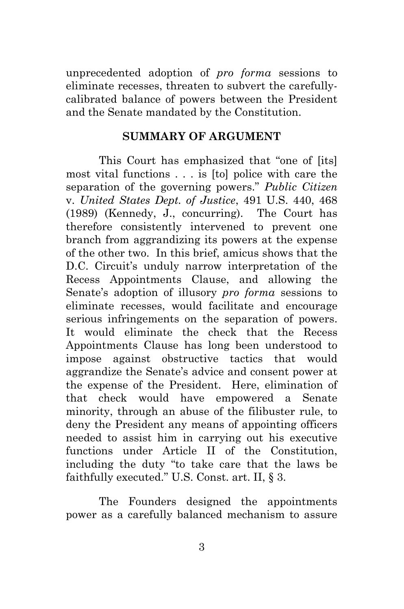unprecedented adoption of *pro forma* sessions to eliminate recesses, threaten to subvert the carefullycalibrated balance of powers between the President and the Senate mandated by the Constitution.

#### **SUMMARY OF ARGUMENT**

This Court has emphasized that "one of [its] most vital functions . . . is [to] police with care the separation of the governing powers." *Public Citizen* v. *United States Dept. of Justice*, 491 U.S. 440, 468 (1989) (Kennedy, J., concurring). The Court has therefore consistently intervened to prevent one branch from aggrandizing its powers at the expense of the other two. In this brief, amicus shows that the D.C. Circuit's unduly narrow interpretation of the Recess Appointments Clause, and allowing the Senate's adoption of illusory *pro forma* sessions to eliminate recesses, would facilitate and encourage serious infringements on the separation of powers. It would eliminate the check that the Recess Appointments Clause has long been understood to impose against obstructive tactics that would aggrandize the Senate's advice and consent power at the expense of the President. Here, elimination of that check would have empowered a Senate minority, through an abuse of the filibuster rule, to deny the President any means of appointing officers needed to assist him in carrying out his executive functions under Article II of the Constitution, including the duty "to take care that the laws be faithfully executed." U.S. Const. art. II,  $\S$  3.

The Founders designed the appointments power as a carefully balanced mechanism to assure

3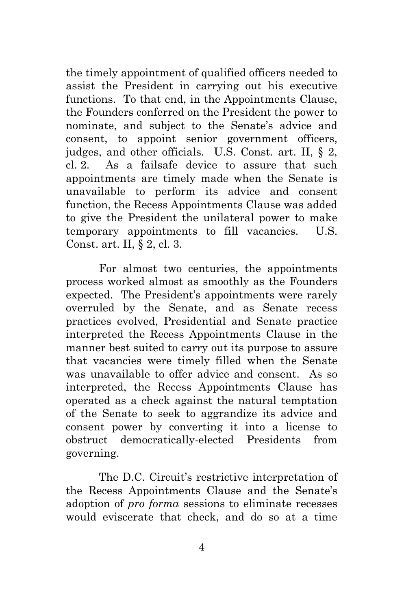the timely appointment of qualified officers needed to assist the President in carrying out his executive functions. To that end, in the Appointments Clause, the Founders conferred on the President the power to nominate, and subject to the Senate's advice and consent, to appoint senior government officers, judges, and other officials. U.S. Const. art. II, § 2, cl. 2. As a failsafe device to assure that such appointments are timely made when the Senate is unavailable to perform its advice and consent function, the Recess Appointments Clause was added to give the President the unilateral power to make temporary appointments to fill vacancies. U.S. Const. art. II, § 2, cl. 3.

For almost two centuries, the appointments process worked almost as smoothly as the Founders expected. The President's appointments were rarely overruled by the Senate, and as Senate recess practices evolved, Presidential and Senate practice interpreted the Recess Appointments Clause in the manner best suited to carry out its purpose to assure that vacancies were timely filled when the Senate was unavailable to offer advice and consent. As so interpreted, the Recess Appointments Clause has operated as a check against the natural temptation of the Senate to seek to aggrandize its advice and consent power by converting it into a license to obstruct democratically-elected Presidents from governing.

The D.C. Circuit's restrictive interpretation of the Recess Appointments Clause and the Senate's adoption of *pro forma* sessions to eliminate recesses would eviscerate that check, and do so at a time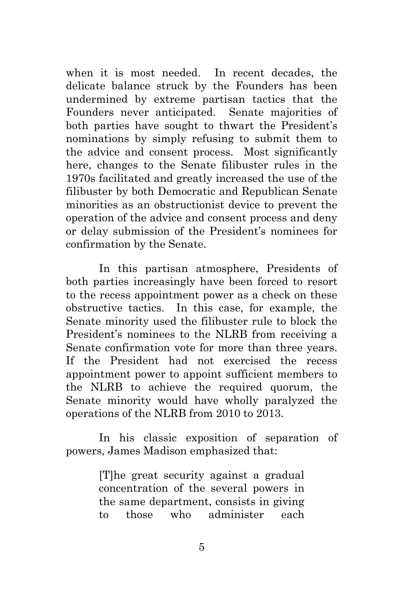when it is most needed. In recent decades, the delicate balance struck by the Founders has been undermined by extreme partisan tactics that the Founders never anticipated. Senate majorities of both parties have sought to thwart the President's nominations by simply refusing to submit them to the advice and consent process. Most significantly here, changes to the Senate filibuster rules in the 1970s facilitated and greatly increased the use of the filibuster by both Democratic and Republican Senate minorities as an obstructionist device to prevent the operation of the advice and consent process and deny or delay submission of the President's nominees for confirmation by the Senate.

In this partisan atmosphere, Presidents of both parties increasingly have been forced to resort to the recess appointment power as a check on these obstructive tactics. In this case, for example, the Senate minority used the filibuster rule to block the President's nominees to the NLRB from receiving a Senate confirmation vote for more than three years. If the President had not exercised the recess appointment power to appoint sufficient members to the NLRB to achieve the required quorum, the Senate minority would have wholly paralyzed the operations of the NLRB from 2010 to 2013.

In his classic exposition of separation of powers, James Madison emphasized that:

> [T]he great security against a gradual concentration of the several powers in the same department, consists in giving to those who administer each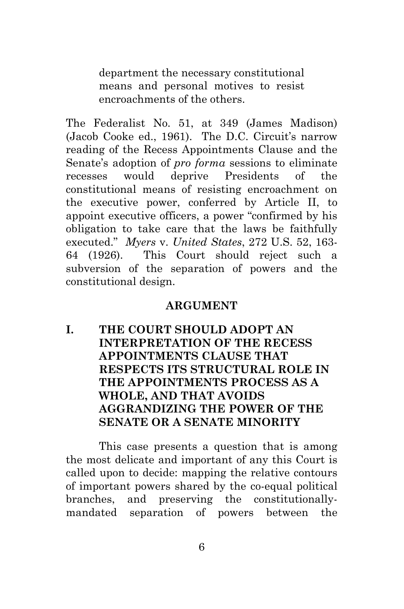department the necessary constitutional means and personal motives to resist encroachments of the others.

The Federalist No. 51, at 349 (James Madison) (Jacob Cooke ed., 1961). The D.C. Circuit's narrow reading of the Recess Appointments Clause and the Senate's adoption of *pro forma* sessions to eliminate recesses would deprive Presidents of the constitutional means of resisting encroachment on the executive power, conferred by Article II, to appoint executive officers, a power "confirmed by his obligation to take care that the laws be faithfully executed.‖ *Myers* v. *United States*, 272 U.S. 52, 163- 64 (1926). This Court should reject such a subversion of the separation of powers and the constitutional design.

#### **ARGUMENT**

**I. THE COURT SHOULD ADOPT AN INTERPRETATION OF THE RECESS APPOINTMENTS CLAUSE THAT RESPECTS ITS STRUCTURAL ROLE IN THE APPOINTMENTS PROCESS AS A WHOLE, AND THAT AVOIDS AGGRANDIZING THE POWER OF THE SENATE OR A SENATE MINORITY** 

This case presents a question that is among the most delicate and important of any this Court is called upon to decide: mapping the relative contours of important powers shared by the co-equal political branches, and preserving the constitutionallymandated separation of powers between the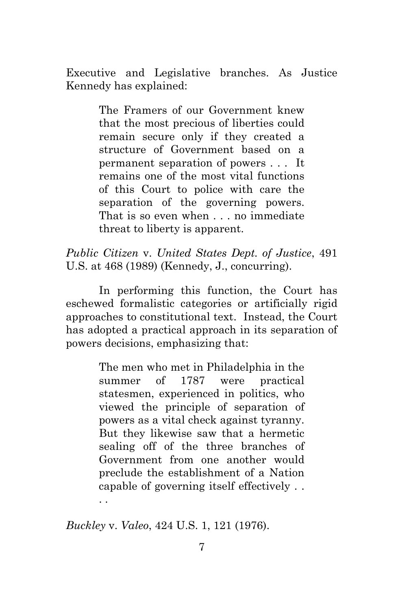Executive and Legislative branches. As Justice Kennedy has explained:

> The Framers of our Government knew that the most precious of liberties could remain secure only if they created a structure of Government based on a permanent separation of powers . . . It remains one of the most vital functions of this Court to police with care the separation of the governing powers. That is so even when . . . no immediate threat to liberty is apparent.

*Public Citizen* v. *United States Dept. of Justice*, 491 U.S. at 468 (1989) (Kennedy, J., concurring).

In performing this function, the Court has eschewed formalistic categories or artificially rigid approaches to constitutional text. Instead, the Court has adopted a practical approach in its separation of powers decisions, emphasizing that:

> The men who met in Philadelphia in the summer of 1787 were practical statesmen, experienced in politics, who viewed the principle of separation of powers as a vital check against tyranny. But they likewise saw that a hermetic sealing off of the three branches of Government from one another would preclude the establishment of a Nation capable of governing itself effectively . . . .

*Buckley* v. *Valeo*, 424 U.S. 1, 121 (1976).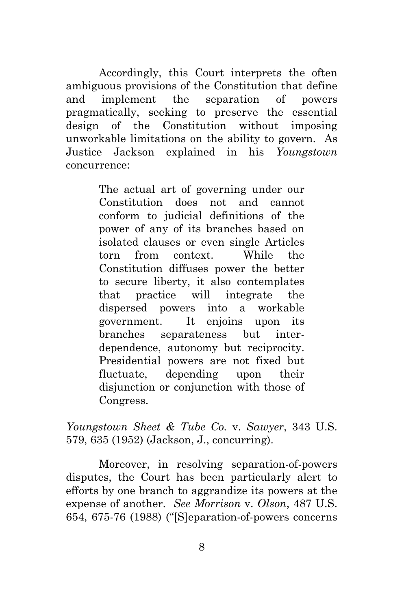Accordingly, this Court interprets the often ambiguous provisions of the Constitution that define and implement the separation of powers pragmatically, seeking to preserve the essential design of the Constitution without imposing unworkable limitations on the ability to govern. As Justice Jackson explained in his *Youngstown* concurrence:

> The actual art of governing under our Constitution does not and cannot conform to judicial definitions of the power of any of its branches based on isolated clauses or even single Articles torn from context. While the Constitution diffuses power the better to secure liberty, it also contemplates that practice will integrate the dispersed powers into a workable government. It enjoins upon its branches separateness but interdependence, autonomy but reciprocity. Presidential powers are not fixed but fluctuate, depending upon their disjunction or conjunction with those of Congress.

*Youngstown Sheet & Tube Co.* v. *Sawyer*, 343 U.S. 579, 635 (1952) (Jackson, J., concurring).

Moreover, in resolving separation-of-powers disputes, the Court has been particularly alert to efforts by one branch to aggrandize its powers at the expense of another. *See Morrison* v. *Olson*, 487 U.S. 654, 675-76 (1988) (" $[S]$ eparation-of-powers concerns"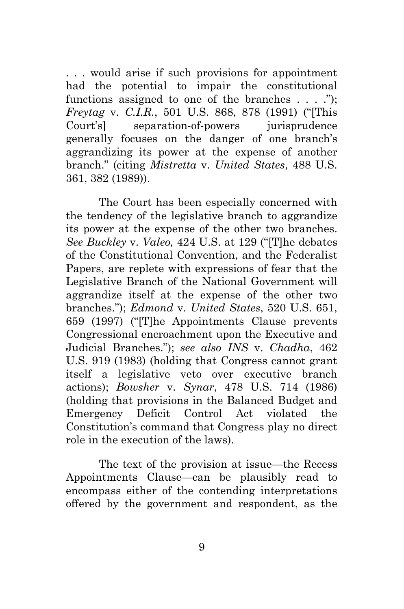. . . would arise if such provisions for appointment had the potential to impair the constitutional functions assigned to one of the branches  $\dots$  ..."); *Freytag v. C.I.R.*, 501 U.S. 868, 878 (1991) ("This Court's] separation-of-powers jurisprudence generally focuses on the danger of one branch's aggrandizing its power at the expense of another branch.‖ (citing *Mistretta* v. *United States*, 488 U.S. 361, 382 (1989)).

The Court has been especially concerned with the tendency of the legislative branch to aggrandize its power at the expense of the other two branches. *See Buckley v. Valeo, 424 U.S. at 129 ("The debates"* of the Constitutional Convention, and the Federalist Papers, are replete with expressions of fear that the Legislative Branch of the National Government will aggrandize itself at the expense of the other two branches.‖); *Edmond* v. *United States*, 520 U.S. 651, 659 (1997) ("[T]he Appointments Clause prevents" Congressional encroachment upon the Executive and Judicial Branches.‖); *see also INS* v. *Chadha*, 462 U.S. 919 (1983) (holding that Congress cannot grant itself a legislative veto over executive branch actions); *Bowsher* v. *Synar*, 478 U.S. 714 (1986) (holding that provisions in the Balanced Budget and Emergency Deficit Control Act violated the Constitution's command that Congress play no direct role in the execution of the laws).

The text of the provision at issue—the Recess Appointments Clause—can be plausibly read to encompass either of the contending interpretations offered by the government and respondent, as the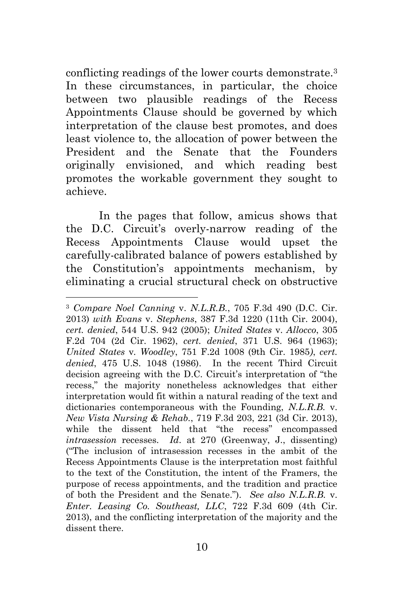conflicting readings of the lower courts demonstrate.<sup>3</sup> In these circumstances, in particular, the choice between two plausible readings of the Recess Appointments Clause should be governed by which interpretation of the clause best promotes, and does least violence to, the allocation of power between the President and the Senate that the Founders originally envisioned, and which reading best promotes the workable government they sought to achieve.

In the pages that follow, amicus shows that the D.C. Circuit's overly-narrow reading of the Recess Appointments Clause would upset the carefully-calibrated balance of powers established by the Constitution's appointments mechanism, by eliminating a crucial structural check on obstructive

<sup>3</sup> *Compare Noel Canning* v. *N.L.R.B.*, 705 F.3d 490 (D.C. Cir. 2013) *with Evans* v. *Stephens*, 387 F.3d 1220 (11th Cir. 2004), *cert. denied*, 544 U.S. 942 (2005); *United States* v. *Allocco*, 305 F.2d 704 (2d Cir. 1962), *cert. denied*, 371 U.S. 964 (1963); *United States* v*. Woodley*, 751 F.2d 1008 (9th Cir. 1985*)*, *cert. denied*, 475 U.S. 1048 (1986). In the recent Third Circuit decision agreeing with the D.C. Circuit's interpretation of "the recess," the majority nonetheless acknowledges that either interpretation would fit within a natural reading of the text and dictionaries contemporaneous with the Founding, *N.L.R.B.* v. *New Vista Nursing & Rehab.*, 719 F.3d 203, 221 (3d Cir. 2013), while the dissent held that "the recess" encompassed *intrasession* recesses. *Id*. at 270 (Greenway, J., dissenting) (―The inclusion of intrasession recesses in the ambit of the Recess Appointments Clause is the interpretation most faithful to the text of the Constitution, the intent of the Framers, the purpose of recess appointments, and the tradition and practice of both the President and the Senate.‖). *See also N.L.R.B.* v. *Enter. Leasing Co. Southeast, LLC*, 722 F.3d 609 (4th Cir. 2013), and the conflicting interpretation of the majority and the dissent there.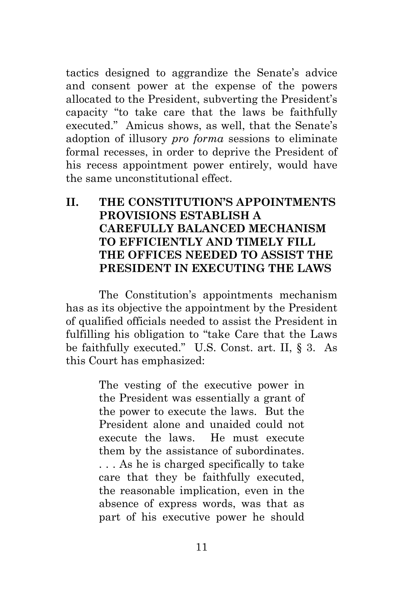tactics designed to aggrandize the Senate's advice and consent power at the expense of the powers allocated to the President, subverting the President's capacity "to take care that the laws be faithfully executed." Amicus shows, as well, that the Senate's adoption of illusory *pro forma* sessions to eliminate formal recesses, in order to deprive the President of his recess appointment power entirely, would have the same unconstitutional effect.

### **II. THE CONSTITUTION'S APPOINTMENTS PROVISIONS ESTABLISH A CAREFULLY BALANCED MECHANISM TO EFFICIENTLY AND TIMELY FILL THE OFFICES NEEDED TO ASSIST THE PRESIDENT IN EXECUTING THE LAWS**

The Constitution's appointments mechanism has as its objective the appointment by the President of qualified officials needed to assist the President in fulfilling his obligation to "take Care that the Laws" be faithfully executed." U.S. Const. art. II,  $\S$  3. As this Court has emphasized:

> The vesting of the executive power in the President was essentially a grant of the power to execute the laws. But the President alone and unaided could not execute the laws. He must execute them by the assistance of subordinates. . . . As he is charged specifically to take care that they be faithfully executed, the reasonable implication, even in the absence of express words, was that as part of his executive power he should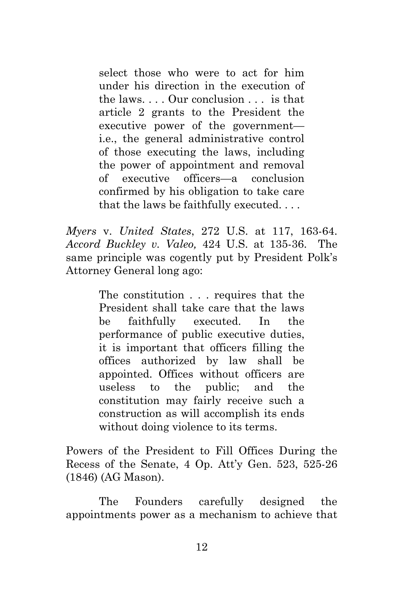select those who were to act for him under his direction in the execution of the laws. . . . Our conclusion . . . is that article 2 grants to the President the executive power of the government i.e., the general administrative control of those executing the laws, including the power of appointment and removal of executive officers—a conclusion confirmed by his obligation to take care that the laws be faithfully executed. . . .

*Myers* v. *United States*, 272 U.S. at 117, 163-64. *Accord Buckley v. Valeo,* 424 U.S. at 135-36. The same principle was cogently put by President Polk's Attorney General long ago:

> The constitution . . . requires that the President shall take care that the laws be faithfully executed. In the performance of public executive duties, it is important that officers filling the offices authorized by law shall be appointed. Offices without officers are useless to the public; and the constitution may fairly receive such a construction as will accomplish its ends without doing violence to its terms.

Powers of the President to Fill Offices During the Recess of the Senate, 4 Op. Att'y Gen. 523, 525-26 (1846) (AG Mason).

The Founders carefully designed the appointments power as a mechanism to achieve that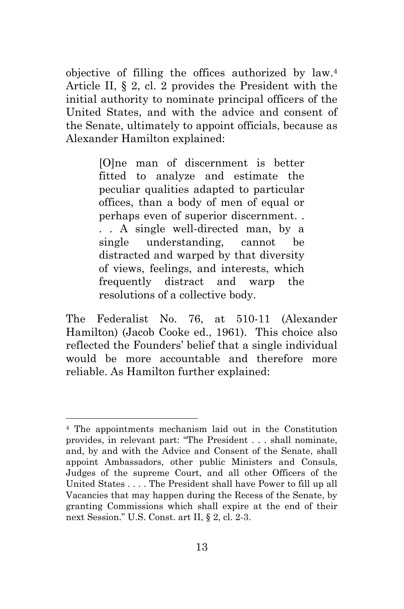objective of filling the offices authorized by law.<sup>4</sup> Article II, § 2, cl. 2 provides the President with the initial authority to nominate principal officers of the United States, and with the advice and consent of the Senate, ultimately to appoint officials, because as Alexander Hamilton explained:

> [O]ne man of discernment is better fitted to analyze and estimate the peculiar qualities adapted to particular offices, than a body of men of equal or perhaps even of superior discernment. . . . A single well-directed man, by a single understanding, cannot be distracted and warped by that diversity of views, feelings, and interests, which frequently distract and warp the resolutions of a collective body.

The Federalist No. 76, at 510-11 (Alexander Hamilton) (Jacob Cooke ed., 1961). This choice also reflected the Founders' belief that a single individual would be more accountable and therefore more reliable. As Hamilton further explained:

<sup>4</sup> The appointments mechanism laid out in the Constitution provides, in relevant part: "The President . . . shall nominate, and, by and with the Advice and Consent of the Senate, shall appoint Ambassadors, other public Ministers and Consuls, Judges of the supreme Court, and all other Officers of the United States . . . . The President shall have Power to fill up all Vacancies that may happen during the Recess of the Senate, by granting Commissions which shall expire at the end of their next Session." U.S. Const. art II, § 2, cl. 2-3.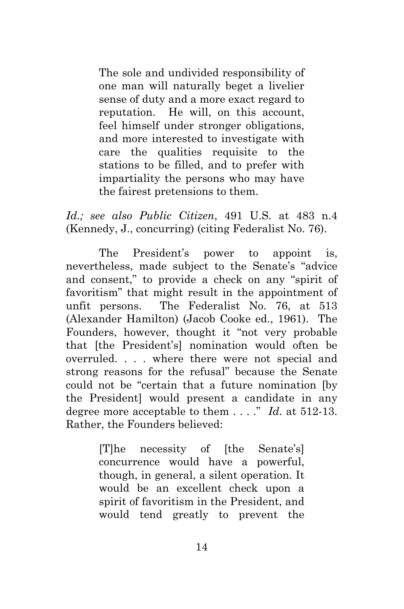The sole and undivided responsibility of one man will naturally beget a livelier sense of duty and a more exact regard to reputation. He will, on this account, feel himself under stronger obligations, and more interested to investigate with care the qualities requisite to the stations to be filled, and to prefer with impartiality the persons who may have the fairest pretensions to them.

*Id.; see also Public Citizen*, 491 U.S*.* at 483 n.4 (Kennedy, J., concurring) (citing Federalist No. 76).

The President's power to appoint is, nevertheless, made subject to the Senate's "advice" and consent," to provide a check on any "spirit of favoritism" that might result in the appointment of unfit persons. The Federalist No. 76, at 513 (Alexander Hamilton) (Jacob Cooke ed., 1961). The Founders, however, thought it "not very probable that [the President's] nomination would often be overruled. . . . where there were not special and strong reasons for the refusal" because the Senate could not be "certain that a future nomination [by the President] would present a candidate in any degree more acceptable to them  $\dots$ ." *Id.* at 512-13. Rather, the Founders believed:

> [T]he necessity of [the Senate's] concurrence would have a powerful, though, in general, a silent operation. It would be an excellent check upon a spirit of favoritism in the President, and would tend greatly to prevent the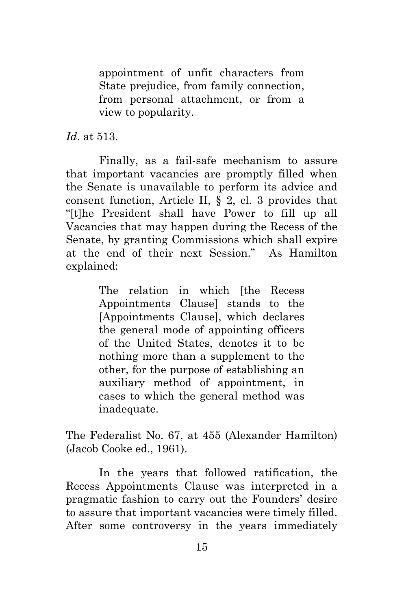appointment of unfit characters from State prejudice, from family connection, from personal attachment, or from a view to popularity.

*Id*. at 513.

Finally, as a fail-safe mechanism to assure that important vacancies are promptly filled when the Senate is unavailable to perform its advice and consent function, Article II, § 2, cl. 3 provides that ―[t]he President shall have Power to fill up all Vacancies that may happen during the Recess of the Senate, by granting Commissions which shall expire at the end of their next Session." As Hamilton explained:

> The relation in which [the Recess] Appointments Clause] stands to the [Appointments Clause], which declares the general mode of appointing officers of the United States, denotes it to be nothing more than a supplement to the other, for the purpose of establishing an auxiliary method of appointment, in cases to which the general method was inadequate.

The Federalist No. 67, at 455 (Alexander Hamilton) (Jacob Cooke ed., 1961).

In the years that followed ratification, the Recess Appointments Clause was interpreted in a pragmatic fashion to carry out the Founders' desire to assure that important vacancies were timely filled. After some controversy in the years immediately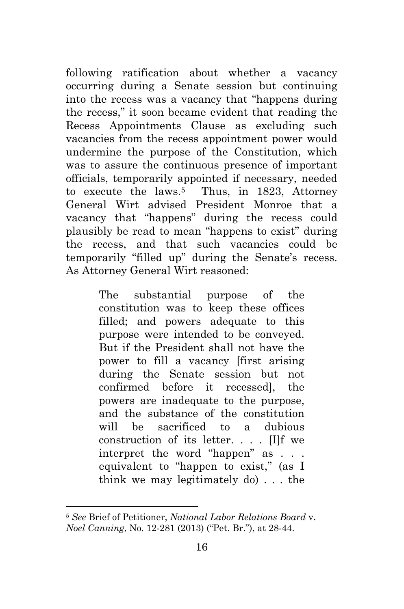following ratification about whether a vacancy occurring during a Senate session but continuing into the recess was a vacancy that "happens during" the recess,‖ it soon became evident that reading the Recess Appointments Clause as excluding such vacancies from the recess appointment power would undermine the purpose of the Constitution, which was to assure the continuous presence of important officials, temporarily appointed if necessary, needed to execute the laws.<sup>5</sup> Thus, in 1823, Attorney General Wirt advised President Monroe that a vacancy that "happens" during the recess could plausibly be read to mean "happens to exist" during the recess, and that such vacancies could be temporarily "filled up" during the Senate's recess. As Attorney General Wirt reasoned:

> The substantial purpose of the constitution was to keep these offices filled; and powers adequate to this purpose were intended to be conveyed. But if the President shall not have the power to fill a vacancy [first arising during the Senate session but not confirmed before it recessed], the powers are inadequate to the purpose, and the substance of the constitution will be sacrificed to a dubious construction of its letter. . . . [I]f we interpret the word "happen" as . . . equivalent to "happen to exist," (as I think we may legitimately do) . . . the

 $\overline{a}$ 

<sup>5</sup> *See* Brief of Petitioner, *National Labor Relations Board* v. *Noel Canning*, No. 12-281 (2013) ("Pet. Br."), at 28-44.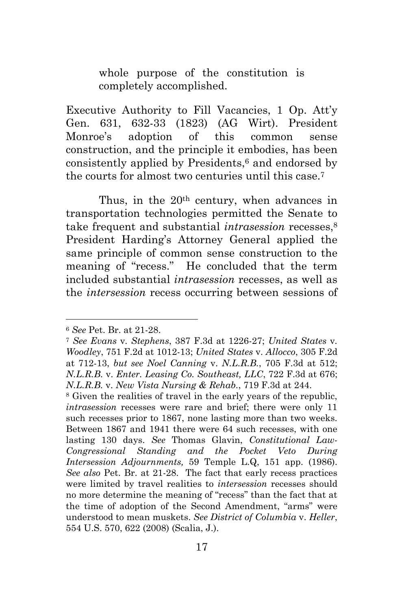whole purpose of the constitution is completely accomplished.

Executive Authority to Fill Vacancies, 1 Op. Att'y Gen. 631, 632-33 (1823) (AG Wirt). President Monroe's adoption of this common sense construction, and the principle it embodies, has been consistently applied by Presidents,<sup>6</sup> and endorsed by the courts for almost two centuries until this case.<sup>7</sup>

Thus, in the 20<sup>th</sup> century, when advances in transportation technologies permitted the Senate to take frequent and substantial *intrasession* recesses,<sup>8</sup> President Harding's Attorney General applied the same principle of common sense construction to the meaning of "recess." He concluded that the term included substantial *intrasession* recesses, as well as the *intersession* recess occurring between sessions of

<sup>6</sup> *See* Pet. Br. at 21-28.

<sup>7</sup> *See Evans* v*. Stephens*, 387 F.3d at 1226-27; *United States* v*. Woodley*, 751 F.2d at 1012-13; *United States* v. *Allocco*, 305 F.2d at 712-13, *but see Noel Canning* v. *N.L.R.B.*, 705 F.3d at 512; *N.L.R.B.* v. *Enter. Leasing Co. Southeast, LLC*, 722 F.3d at 676; *N.L.R.B.* v. *New Vista Nursing & Rehab.*, 719 F.3d at 244.

<sup>8</sup> Given the realities of travel in the early years of the republic, *intrasession* recesses were rare and brief; there were only 11 such recesses prior to 1867, none lasting more than two weeks. Between 1867 and 1941 there were 64 such recesses, with one lasting 130 days. *See* Thomas Glavin, *Constitutional Law-Congressional Standing and the Pocket Veto During Intersession Adjournments,* 59 Temple L.Q, 151 app. (1986). *See also* Pet. Br. at 21-28. The fact that early recess practices were limited by travel realities to *intersession* recesses should no more determine the meaning of "recess" than the fact that at the time of adoption of the Second Amendment, "arms" were understood to mean muskets. *See District of Columbia* v. *Heller*, 554 U.S. 570, 622 (2008) (Scalia, J.).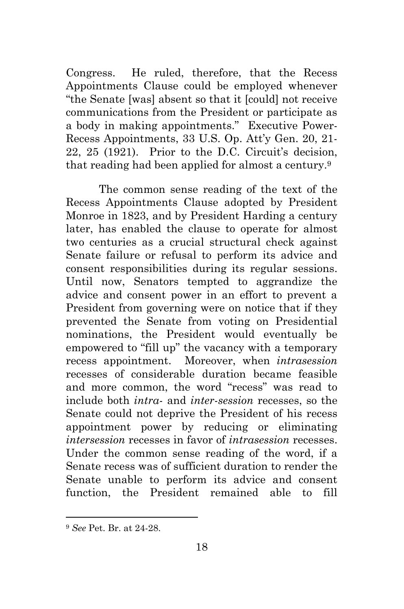Congress. He ruled, therefore, that the Recess Appointments Clause could be employed whenever ―the Senate [was] absent so that it [could] not receive communications from the President or participate as a body in making appointments." Executive Power-Recess Appointments, 33 U.S. Op. Att'y Gen. 20, 21- 22, 25 (1921). Prior to the D.C. Circuit's decision, that reading had been applied for almost a century.<sup>9</sup>

The common sense reading of the text of the Recess Appointments Clause adopted by President Monroe in 1823, and by President Harding a century later, has enabled the clause to operate for almost two centuries as a crucial structural check against Senate failure or refusal to perform its advice and consent responsibilities during its regular sessions. Until now, Senators tempted to aggrandize the advice and consent power in an effort to prevent a President from governing were on notice that if they prevented the Senate from voting on Presidential nominations, the President would eventually be empowered to "fill up" the vacancy with a temporary recess appointment. Moreover, when *intrasession* recesses of considerable duration became feasible and more common, the word "recess" was read to include both *intra*- and *inter*-*session* recesses, so the Senate could not deprive the President of his recess appointment power by reducing or eliminating *intersession* recesses in favor of *intrasession* recesses. Under the common sense reading of the word, if a Senate recess was of sufficient duration to render the Senate unable to perform its advice and consent function, the President remained able to fill

 $\overline{a}$ 

<sup>9</sup> *See* Pet. Br. at 24-28.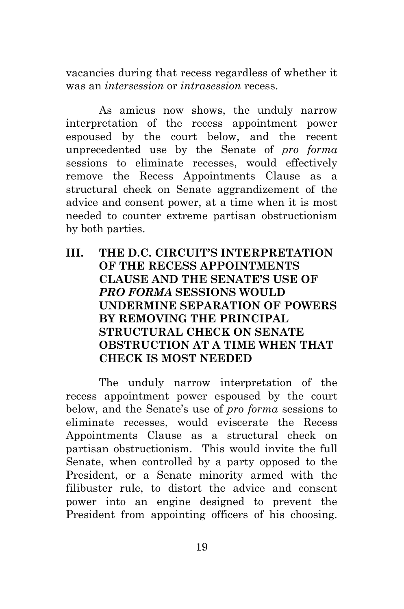vacancies during that recess regardless of whether it was an *intersession* or *intrasession* recess.

As amicus now shows, the unduly narrow interpretation of the recess appointment power espoused by the court below, and the recent unprecedented use by the Senate of *pro forma* sessions to eliminate recesses, would effectively remove the Recess Appointments Clause as a structural check on Senate aggrandizement of the advice and consent power, at a time when it is most needed to counter extreme partisan obstructionism by both parties.

**III. THE D.C. CIRCUIT'S INTERPRETATION OF THE RECESS APPOINTMENTS CLAUSE AND THE SENATE'S USE OF** *PRO FORMA* **SESSIONS WOULD UNDERMINE SEPARATION OF POWERS BY REMOVING THE PRINCIPAL STRUCTURAL CHECK ON SENATE OBSTRUCTION AT A TIME WHEN THAT CHECK IS MOST NEEDED** 

The unduly narrow interpretation of the recess appointment power espoused by the court below, and the Senate's use of *pro forma* sessions to eliminate recesses, would eviscerate the Recess Appointments Clause as a structural check on partisan obstructionism. This would invite the full Senate, when controlled by a party opposed to the President, or a Senate minority armed with the filibuster rule, to distort the advice and consent power into an engine designed to prevent the President from appointing officers of his choosing.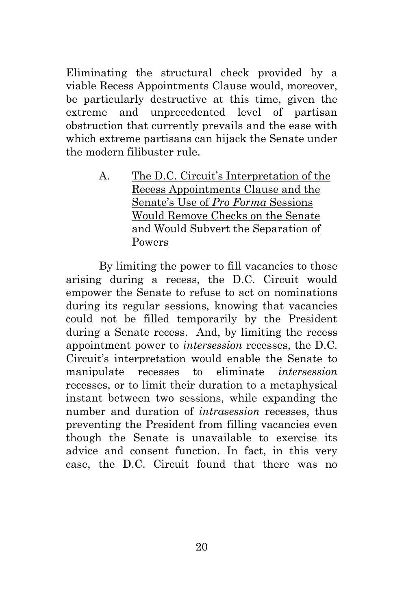Eliminating the structural check provided by a viable Recess Appointments Clause would, moreover, be particularly destructive at this time, given the extreme and unprecedented level of partisan obstruction that currently prevails and the ease with which extreme partisans can hijack the Senate under the modern filibuster rule.

> A. The D.C. Circuit's Interpretation of the Recess Appointments Clause and the Senate's Use of *Pro Forma* Sessions Would Remove Checks on the Senate and Would Subvert the Separation of Powers

By limiting the power to fill vacancies to those arising during a recess, the D.C. Circuit would empower the Senate to refuse to act on nominations during its regular sessions, knowing that vacancies could not be filled temporarily by the President during a Senate recess. And, by limiting the recess appointment power to *intersession* recesses, the D.C. Circuit's interpretation would enable the Senate to manipulate recesses to eliminate *intersession* recesses, or to limit their duration to a metaphysical instant between two sessions, while expanding the number and duration of *intrasession* recesses, thus preventing the President from filling vacancies even though the Senate is unavailable to exercise its advice and consent function. In fact, in this very case, the D.C. Circuit found that there was no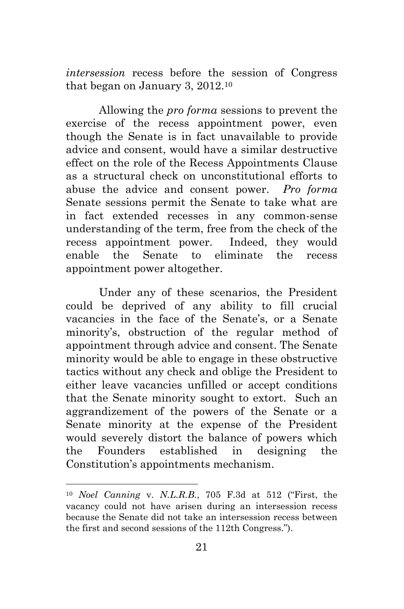*intersession* recess before the session of Congress that began on January 3, 2012.<sup>10</sup>

Allowing the *pro forma* sessions to prevent the exercise of the recess appointment power, even though the Senate is in fact unavailable to provide advice and consent, would have a similar destructive effect on the role of the Recess Appointments Clause as a structural check on unconstitutional efforts to abuse the advice and consent power. *Pro forma*  Senate sessions permit the Senate to take what are in fact extended recesses in any common-sense understanding of the term, free from the check of the recess appointment power. Indeed, they would enable the Senate to eliminate the recess appointment power altogether.

Under any of these scenarios, the President could be deprived of any ability to fill crucial vacancies in the face of the Senate's, or a Senate minority's, obstruction of the regular method of appointment through advice and consent. The Senate minority would be able to engage in these obstructive tactics without any check and oblige the President to either leave vacancies unfilled or accept conditions that the Senate minority sought to extort. Such an aggrandizement of the powers of the Senate or a Senate minority at the expense of the President would severely distort the balance of powers which the Founders established in designing the Constitution's appointments mechanism.

<sup>&</sup>lt;sup>10</sup> *Noel Canning v. N.L.R.B.*, 705 F.3d at 512 ("First, the vacancy could not have arisen during an intersession recess because the Senate did not take an intersession recess between the first and second sessions of the 112th Congress.").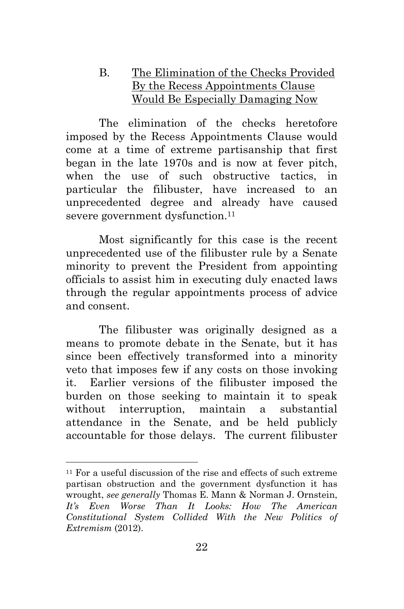### B. The Elimination of the Checks Provided By the Recess Appointments Clause Would Be Especially Damaging Now

The elimination of the checks heretofore imposed by the Recess Appointments Clause would come at a time of extreme partisanship that first began in the late 1970s and is now at fever pitch, when the use of such obstructive tactics, in particular the filibuster, have increased to an unprecedented degree and already have caused severe government dysfunction.<sup>11</sup>

Most significantly for this case is the recent unprecedented use of the filibuster rule by a Senate minority to prevent the President from appointing officials to assist him in executing duly enacted laws through the regular appointments process of advice and consent.

The filibuster was originally designed as a means to promote debate in the Senate, but it has since been effectively transformed into a minority veto that imposes few if any costs on those invoking it. Earlier versions of the filibuster imposed the burden on those seeking to maintain it to speak without interruption, maintain a substantial attendance in the Senate, and be held publicly accountable for those delays. The current filibuster

 $11$  For a useful discussion of the rise and effects of such extreme partisan obstruction and the government dysfunction it has wrought, *see generally* Thomas E. Mann & Norman J. Ornstein, *It's Even Worse Than It Looks: How The American Constitutional System Collided With the New Politics of Extremism* (2012).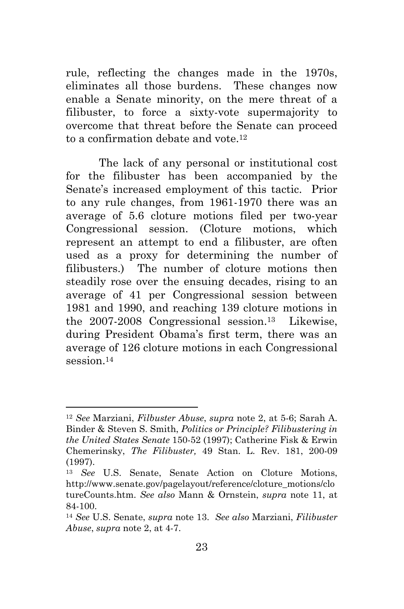rule, reflecting the changes made in the 1970s, eliminates all those burdens. These changes now enable a Senate minority, on the mere threat of a filibuster, to force a sixty-vote supermajority to overcome that threat before the Senate can proceed to a confirmation debate and vote.<sup>12</sup>

The lack of any personal or institutional cost for the filibuster has been accompanied by the Senate's increased employment of this tactic. Prior to any rule changes, from 1961-1970 there was an average of 5.6 cloture motions filed per two-year Congressional session. (Cloture motions, which represent an attempt to end a filibuster, are often used as a proxy for determining the number of filibusters.) The number of cloture motions then steadily rose over the ensuing decades, rising to an average of 41 per Congressional session between 1981 and 1990, and reaching 139 cloture motions in the 2007-2008 Congressional session.13 Likewise, during President Obama's first term, there was an average of 126 cloture motions in each Congressional session 14

<sup>12</sup> *See* Marziani, *Filbuster Abuse*, *supra* note 2, at 5-6; Sarah A. Binder & Steven S. Smith, *Politics or Principle? Filibustering in the United States Senate* 150-52 (1997); Catherine Fisk & Erwin Chemerinsky, *The Filibuster,* 49 Stan. L. Rev. 181, 200-09 (1997).

<sup>13</sup> *See* U.S. Senate, Senate Action on Cloture Motions, http://www.senate.gov/pagelayout/reference/cloture\_motions/clo tureCounts.htm. *See also* Mann & Ornstein, *supra* note 11, at 84-100.

<sup>14</sup> *See* U.S. Senate, *supra* note 13. *See also* Marziani, *Filibuster Abuse*, *supra* note 2, at 4-7.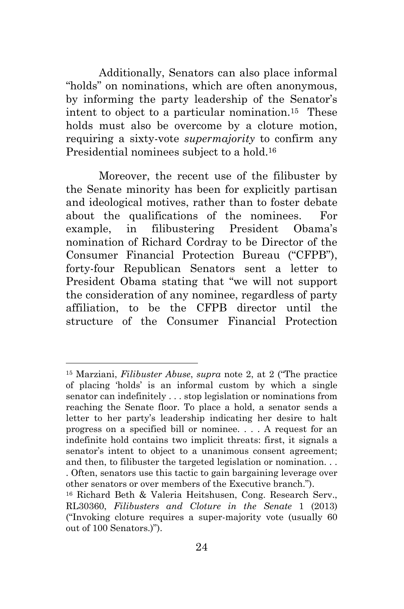Additionally, Senators can also place informal "holds" on nominations, which are often anonymous, by informing the party leadership of the Senator's intent to object to a particular nomination.15 These holds must also be overcome by a cloture motion, requiring a sixty-vote *supermajority* to confirm any Presidential nominees subject to a hold.<sup>16</sup>

Moreover, the recent use of the filibuster by the Senate minority has been for explicitly partisan and ideological motives, rather than to foster debate about the qualifications of the nominees. For example, in filibustering President Obama's nomination of Richard Cordray to be Director of the Consumer Financial Protection Bureau ("CFPB"), forty-four Republican Senators sent a letter to President Obama stating that "we will not support the consideration of any nominee, regardless of party affiliation, to be the CFPB director until the structure of the Consumer Financial Protection

 $\overline{a}$ 

<sup>&</sup>lt;sup>15</sup> Marziani, *Filibuster Abuse*, *supra* note 2, at 2 ("The practice" of placing ‗holds' is an informal custom by which a single senator can indefinitely . . . stop legislation or nominations from reaching the Senate floor. To place a hold, a senator sends a letter to her party's leadership indicating her desire to halt progress on a specified bill or nominee. . . . A request for an indefinite hold contains two implicit threats: first, it signals a senator's intent to object to a unanimous consent agreement; and then, to filibuster the targeted legislation or nomination. . . . Often, senators use this tactic to gain bargaining leverage over other senators or over members of the Executive branch.").

<sup>16</sup> Richard Beth & Valeria Heitshusen, Cong. Research Serv., RL30360, *Filibusters and Cloture in the Senate* 1 (2013)  $("Invoking$  cloture requires a super-majority vote (usually 60) out of 100 Senators.)").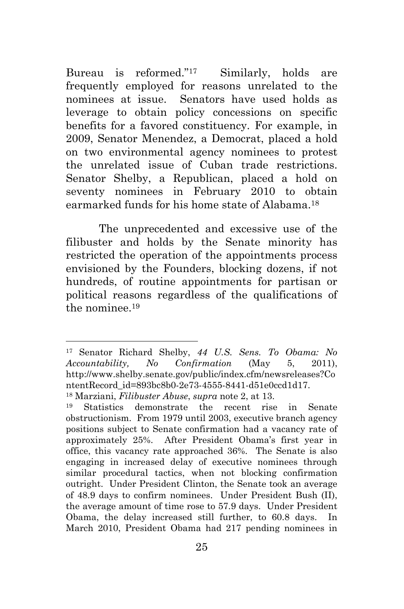Bureau is reformed." $17$  Similarly, holds are frequently employed for reasons unrelated to the nominees at issue. Senators have used holds as leverage to obtain policy concessions on specific benefits for a favored constituency. For example, in 2009, Senator Menendez, a Democrat, placed a hold on two environmental agency nominees to protest the unrelated issue of Cuban trade restrictions. Senator Shelby, a Republican, placed a hold on seventy nominees in February 2010 to obtain earmarked funds for his home state of Alabama.<sup>18</sup>

The unprecedented and excessive use of the filibuster and holds by the Senate minority has restricted the operation of the appointments process envisioned by the Founders, blocking dozens, if not hundreds, of routine appointments for partisan or political reasons regardless of the qualifications of the nominee.<sup>19</sup>

 $\overline{a}$ 

<sup>17</sup> Senator Richard Shelby, *44 U.S. Sens. To Obama: No Accountability, No Confirmation* (May 5, 2011), http://www.shelby.senate.gov/public/index.cfm/newsreleases?Co ntentRecord\_id=893bc8b0-2e73-4555-8441-d51e0ccd1d17.

<sup>18</sup> Marziani, *Filibuster Abuse*, *supra* note 2, at 13.

<sup>19</sup> Statistics demonstrate the recent rise in Senate obstructionism. From 1979 until 2003, executive branch agency positions subject to Senate confirmation had a vacancy rate of approximately 25%. After President Obama's first year in office, this vacancy rate approached 36%. The Senate is also engaging in increased delay of executive nominees through similar procedural tactics, when not blocking confirmation outright. Under President Clinton, the Senate took an average of 48.9 days to confirm nominees. Under President Bush (II), the average amount of time rose to 57.9 days. Under President Obama, the delay increased still further, to 60.8 days. In March 2010, President Obama had 217 pending nominees in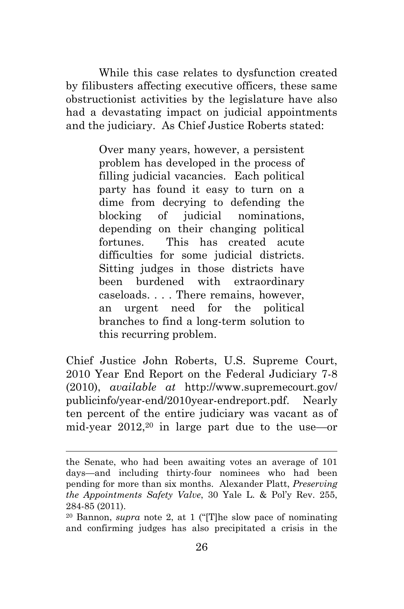While this case relates to dysfunction created by filibusters affecting executive officers, these same obstructionist activities by the legislature have also had a devastating impact on judicial appointments and the judiciary. As Chief Justice Roberts stated:

> Over many years, however, a persistent problem has developed in the process of filling judicial vacancies. Each political party has found it easy to turn on a dime from decrying to defending the blocking of judicial nominations, depending on their changing political fortunes. This has created acute difficulties for some judicial districts. Sitting judges in those districts have been burdened with extraordinary caseloads. . . . There remains, however, an urgent need for the political branches to find a long-term solution to this recurring problem.

Chief Justice John Roberts, U.S. Supreme Court, 2010 Year End Report on the Federal Judiciary 7-8 (2010), *available at* http://www.supremecourt.gov/ publicinfo/year-end/2010year-endreport.pdf. Nearly ten percent of the entire judiciary was vacant as of mid-year 2012,20 in large part due to the use—or

the Senate, who had been awaiting votes an average of 101 days—and including thirty-four nominees who had been pending for more than six months. Alexander Platt, *Preserving the Appointments Safety Valve*, 30 Yale L. & Pol'y Rev. 255, 284-85 (2011).

 $20$  Bannon, *supra* note 2, at 1 ("[T]he slow pace of nominating and confirming judges has also precipitated a crisis in the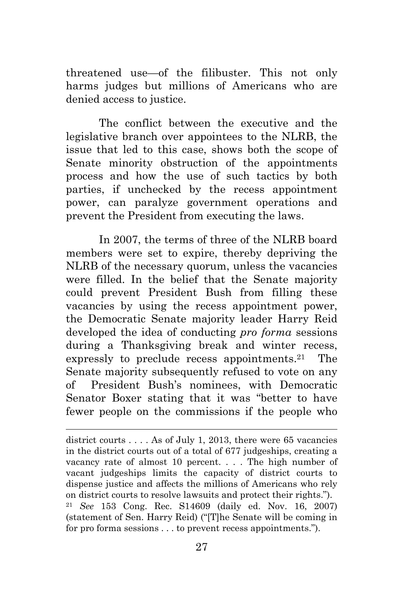threatened use—of the filibuster. This not only harms judges but millions of Americans who are denied access to justice.

The conflict between the executive and the legislative branch over appointees to the NLRB, the issue that led to this case, shows both the scope of Senate minority obstruction of the appointments process and how the use of such tactics by both parties, if unchecked by the recess appointment power, can paralyze government operations and prevent the President from executing the laws.

In 2007, the terms of three of the NLRB board members were set to expire, thereby depriving the NLRB of the necessary quorum, unless the vacancies were filled. In the belief that the Senate majority could prevent President Bush from filling these vacancies by using the recess appointment power, the Democratic Senate majority leader Harry Reid developed the idea of conducting *pro forma* sessions during a Thanksgiving break and winter recess, expressly to preclude recess appointments.<sup>21</sup> The Senate majority subsequently refused to vote on any of President Bush's nominees, with Democratic Senator Boxer stating that it was "better to have fewer people on the commissions if the people who

district courts . . . . As of July 1, 2013, there were 65 vacancies in the district courts out of a total of 677 judgeships, creating a vacancy rate of almost 10 percent. . . . The high number of vacant judgeships limits the capacity of district courts to dispense justice and affects the millions of Americans who rely on district courts to resolve lawsuits and protect their rights.‖). <sup>21</sup> *See* 153 Cong. Rec. S14609 (daily ed. Nov. 16, 2007) (statement of Sen. Harry Reid) ("The Senate will be coming in for pro forma sessions  $\dots$  to prevent recess appointments.").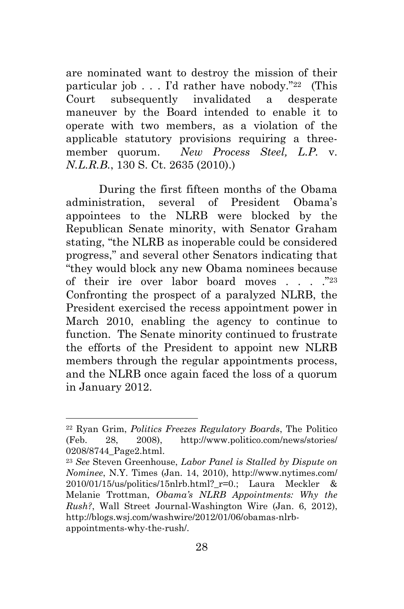are nominated want to destroy the mission of their particular job  $\ldots$  I'd rather have nobody."<sup>22</sup> (This Court subsequently invalidated a desperate maneuver by the Board intended to enable it to operate with two members, as a violation of the applicable statutory provisions requiring a threemember quorum. *New Process Steel, L.P.* v. *N.L.R.B.*, 130 S. Ct. 2635 (2010).)

During the first fifteen months of the Obama administration, several of President Obama's appointees to the NLRB were blocked by the Republican Senate minority, with Senator Graham stating, "the NLRB as inoperable could be considered progress,‖ and several other Senators indicating that ―they would block any new Obama nominees because of their ire over labor board moves  $\ldots$  ... .<sup>223</sup> Confronting the prospect of a paralyzed NLRB, the President exercised the recess appointment power in March 2010, enabling the agency to continue to function. The Senate minority continued to frustrate the efforts of the President to appoint new NLRB members through the regular appointments process, and the NLRB once again faced the loss of a quorum in January 2012.

<sup>22</sup> Ryan Grim, *Politics Freezes Regulatory Boards*, The Politico (Feb. 28, 2008), http://www.politico.com/news/stories/ 0208/8744\_Page2.html.

<sup>23</sup> *See* Steven Greenhouse, *Labor Panel is Stalled by Dispute on Nominee*, N.Y. Times (Jan. 14, 2010), http://www.nytimes.com/  $2010/01/15/\text{us/politics}/15\text{nlrb.html}$ ? r=0.; Laura Meckler & Melanie Trottman, *Obama's NLRB Appointments: Why the Rush?*, Wall Street Journal-Washington Wire (Jan. 6, 2012), http://blogs.wsj.com/washwire/2012/01/06/obamas-nlrbappointments-why-the-rush/.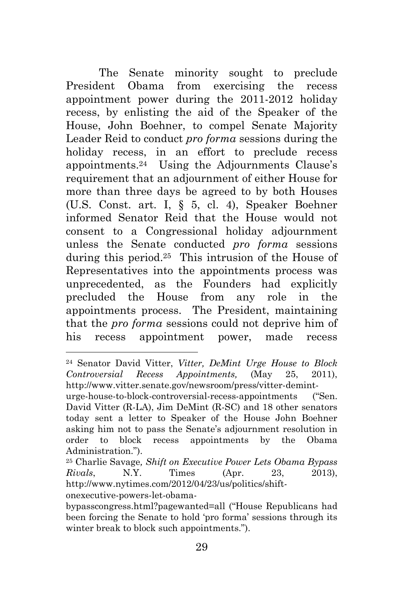The Senate minority sought to preclude President Obama from exercising the recess appointment power during the 2011-2012 holiday recess, by enlisting the aid of the Speaker of the House, John Boehner, to compel Senate Majority Leader Reid to conduct *pro forma* sessions during the holiday recess, in an effort to preclude recess appointments.24 Using the Adjournments Clause's requirement that an adjournment of either House for more than three days be agreed to by both Houses (U.S. Const. art. I, § 5, cl. 4), Speaker Boehner informed Senator Reid that the House would not consent to a Congressional holiday adjournment unless the Senate conducted *pro forma* sessions during this period.25 This intrusion of the House of Representatives into the appointments process was unprecedented, as the Founders had explicitly precluded the House from any role in the appointments process. The President, maintaining that the *pro forma* sessions could not deprive him of his recess appointment power, made recess

 $\overline{a}$ 

<sup>24</sup> Senator David Vitter, *Vitter, DeMint Urge House to Block Controversial Recess Appointments,* (May 25, 2011), http://www.vitter.senate.gov/newsroom/press/vitter-demint-

urge-house-to-block-controversial-recess-appointments ("Sen. David Vitter (R-LA), Jim DeMint (R-SC) and 18 other senators today sent a letter to Speaker of the House John Boehner asking him not to pass the Senate's adjournment resolution in order to block recess appointments by the Obama Administration.").

<sup>25</sup> Charlie Savage*, Shift on Executive Power Lets Obama Bypass Rivals*, N.Y. Times (Apr. 23, 2013), http://www.nytimes.com/2012/04/23/us/politics/shiftonexecutive-powers-let-obama-

bypasscongress.html?pagewanted=all ("House Republicans had been forcing the Senate to hold 'pro forma' sessions through its winter break to block such appointments.").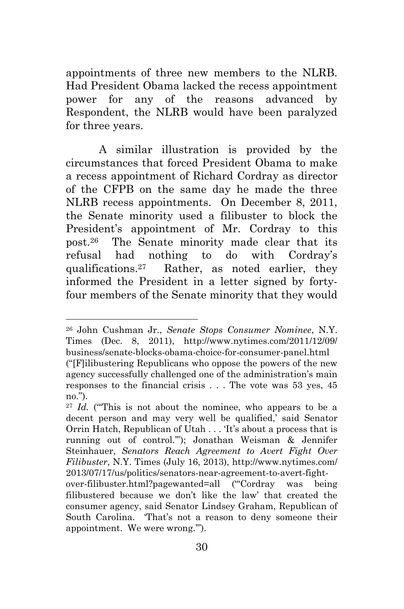appointments of three new members to the NLRB. Had President Obama lacked the recess appointment power for any of the reasons advanced by Respondent, the NLRB would have been paralyzed for three years.

A similar illustration is provided by the circumstances that forced President Obama to make a recess appointment of Richard Cordray as director of the CFPB on the same day he made the three NLRB recess appointments. On December 8, 2011, the Senate minority used a filibuster to block the President's appointment of Mr. Cordray to this post.<sup>26</sup> The Senate minority made clear that its refusal had nothing to do with Cordray's qualifications.27 Rather, as noted earlier, they informed the President in a letter signed by fortyfour members of the Senate minority that they would

<sup>26</sup> John Cushman Jr., *Senate Stops Consumer Nominee*, N.Y. Times (Dec. 8, 2011), http://www.nytimes.com/2011/12/09/ business/senate-blocks-obama-choice-for-consumer-panel.html

<sup>(―[</sup>F]ilibustering Republicans who oppose the powers of the new agency successfully challenged one of the administration's main responses to the financial crisis . . . The vote was 53 yes, 45 no.").

 $27$  *Id.* ("This is not about the nominee, who appears to be a decent person and may very well be qualified,' said Senator Orrin Hatch, Republican of Utah . . . The shout a process that is running out of control."'); Jonathan Weisman & Jennifer Steinhauer, *Senators Reach Agreement to Avert Fight Over Filibuster*, N.Y. Times (July 16, 2013), http://www.nytimes.com/ 2013/07/17/us/politics/senators-near-agreement-to-avert-fight-

over-filibuster.html?pagewanted=all ("Cordray was being filibustered because we don't like the law' that created the consumer agency, said Senator Lindsey Graham, Republican of South Carolina. That's not a reason to deny someone their appointment. We were wrong."").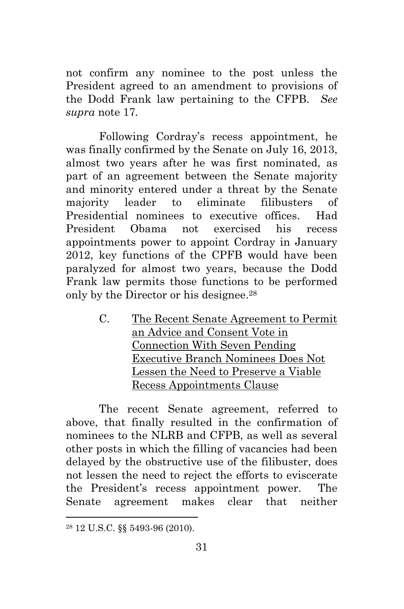not confirm any nominee to the post unless the President agreed to an amendment to provisions of the Dodd Frank law pertaining to the CFPB. *See supra* note 17*.*

Following Cordray's recess appointment, he was finally confirmed by the Senate on July 16, 2013, almost two years after he was first nominated, as part of an agreement between the Senate majority and minority entered under a threat by the Senate majority leader to eliminate filibusters of Presidential nominees to executive offices. Had President Obama not exercised his recess appointments power to appoint Cordray in January 2012, key functions of the CPFB would have been paralyzed for almost two years, because the Dodd Frank law permits those functions to be performed only by the Director or his designee.<sup>28</sup>

> C. The Recent Senate Agreement to Permit an Advice and Consent Vote in Connection With Seven Pending Executive Branch Nominees Does Not Lessen the Need to Preserve a Viable Recess Appointments Clause

The recent Senate agreement, referred to above, that finally resulted in the confirmation of nominees to the NLRB and CFPB, as well as several other posts in which the filling of vacancies had been delayed by the obstructive use of the filibuster, does not lessen the need to reject the efforts to eviscerate the President's recess appointment power. The Senate agreement makes clear that neither

 $\overline{a}$ 

<sup>28</sup> 12 U.S.C. §§ 5493-96 (2010).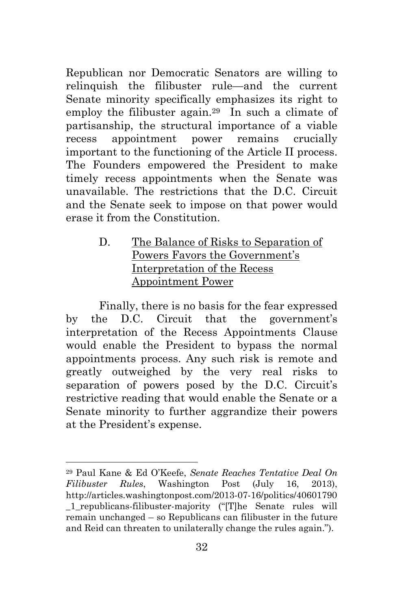Republican nor Democratic Senators are willing to relinquish the filibuster rule—and the current Senate minority specifically emphasizes its right to employ the filibuster again.29 In such a climate of partisanship, the structural importance of a viable recess appointment power remains crucially important to the functioning of the Article II process. The Founders empowered the President to make timely recess appointments when the Senate was unavailable. The restrictions that the D.C. Circuit and the Senate seek to impose on that power would erase it from the Constitution.

### D. The Balance of Risks to Separation of Powers Favors the Government's Interpretation of the Recess Appointment Power

Finally, there is no basis for the fear expressed by the D.C. Circuit that the government's interpretation of the Recess Appointments Clause would enable the President to bypass the normal appointments process. Any such risk is remote and greatly outweighed by the very real risks to separation of powers posed by the D.C. Circuit's restrictive reading that would enable the Senate or a Senate minority to further aggrandize their powers at the President's expense.

<sup>29</sup> Paul Kane & Ed O'Keefe, *Senate Reaches Tentative Deal On Filibuster Rules*, Washington Post (July 16, 2013), http://articles.washingtonpost.com/2013-07-16/politics/40601790 1 republicans-filibuster-majority ("[T]he Senate rules will remain unchanged – so Republicans can filibuster in the future and Reid can threaten to unilaterally change the rules again.").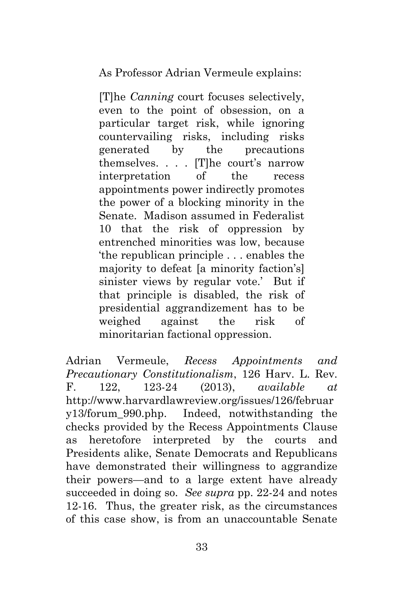As Professor Adrian Vermeule explains:

[T]he *Canning* court focuses selectively, even to the point of obsession, on a particular target risk, while ignoring countervailing risks, including risks generated by the precautions themselves. . . . [T]he court's narrow interpretation of the recess appointments power indirectly promotes the power of a blocking minority in the Senate. Madison assumed in Federalist 10 that the risk of oppression by entrenched minorities was low, because ‗the republican principle . . . enables the majority to defeat [a minority faction's] sinister views by regular vote.' But if that principle is disabled, the risk of presidential aggrandizement has to be weighed against the risk of minoritarian factional oppression.

Adrian Vermeule, *Recess Appointments and Precautionary Constitutionalism*, 126 Harv. L. Rev. F. 122, 123-24 (2013), *available at* http://www.harvardlawreview.org/issues/126/februar y13/forum\_990.php. Indeed, notwithstanding the checks provided by the Recess Appointments Clause as heretofore interpreted by the courts and Presidents alike, Senate Democrats and Republicans have demonstrated their willingness to aggrandize their powers—and to a large extent have already succeeded in doing so. *See supra* pp. 22-24 and notes 12-16. Thus, the greater risk, as the circumstances of this case show, is from an unaccountable Senate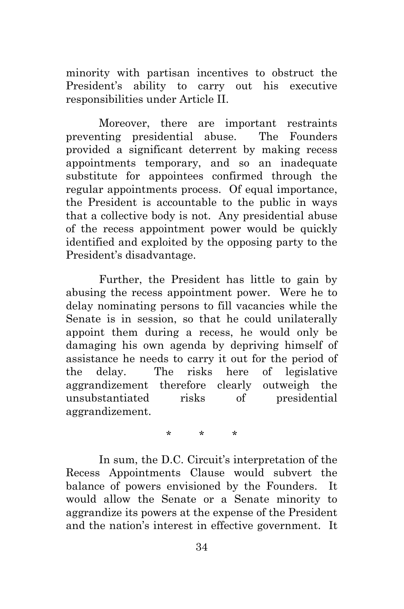minority with partisan incentives to obstruct the President's ability to carry out his executive responsibilities under Article II.

Moreover, there are important restraints preventing presidential abuse. The Founders provided a significant deterrent by making recess appointments temporary, and so an inadequate substitute for appointees confirmed through the regular appointments process. Of equal importance, the President is accountable to the public in ways that a collective body is not. Any presidential abuse of the recess appointment power would be quickly identified and exploited by the opposing party to the President's disadvantage.

Further, the President has little to gain by abusing the recess appointment power. Were he to delay nominating persons to fill vacancies while the Senate is in session, so that he could unilaterally appoint them during a recess, he would only be damaging his own agenda by depriving himself of assistance he needs to carry it out for the period of the delay. The risks here of legislative aggrandizement therefore clearly outweigh the unsubstantiated risks of presidential aggrandizement.

\* \* \*

In sum, the D.C. Circuit's interpretation of the Recess Appointments Clause would subvert the balance of powers envisioned by the Founders. It would allow the Senate or a Senate minority to aggrandize its powers at the expense of the President and the nation's interest in effective government. It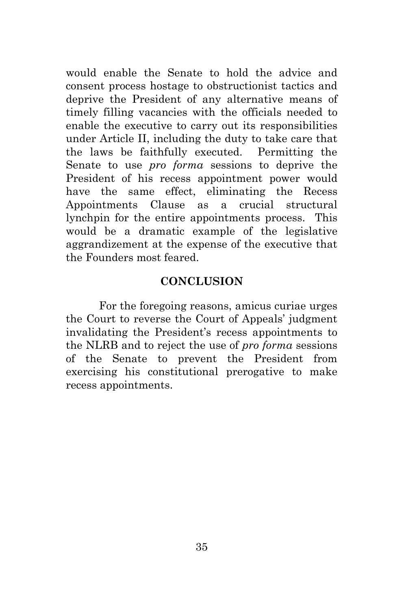would enable the Senate to hold the advice and consent process hostage to obstructionist tactics and deprive the President of any alternative means of timely filling vacancies with the officials needed to enable the executive to carry out its responsibilities under Article II, including the duty to take care that the laws be faithfully executed. Permitting the Senate to use *pro forma* sessions to deprive the President of his recess appointment power would have the same effect, eliminating the Recess Appointments Clause as a crucial structural lynchpin for the entire appointments process. This would be a dramatic example of the legislative aggrandizement at the expense of the executive that the Founders most feared.

#### **CONCLUSION**

For the foregoing reasons, amicus curiae urges the Court to reverse the Court of Appeals' judgment invalidating the President's recess appointments to the NLRB and to reject the use of *pro forma* sessions of the Senate to prevent the President from exercising his constitutional prerogative to make recess appointments.